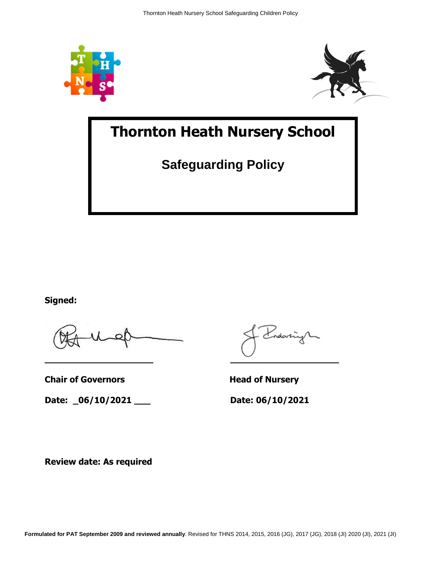



# **Thornton Heath Nursery School**

**Safeguarding Policy**

**Signed:**

**Chair of Governors Head of Nursery** 

**Date: \_06/10/2021 \_\_\_ Date: 06/10/2021**

vdarri **\_\_\_\_\_\_\_\_\_\_\_\_\_\_\_\_\_\_\_\_ \_\_\_\_\_\_\_\_\_\_\_\_\_\_\_\_\_\_\_\_**

**Review date: As required**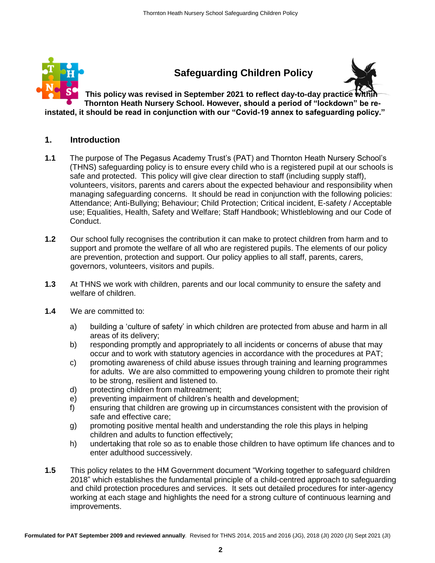

#### **1. Introduction**

- **1.1** The purpose of The Pegasus Academy Trust's (PAT) and Thornton Heath Nursery School's (THNS) safeguarding policy is to ensure every child who is a registered pupil at our schools is safe and protected. This policy will give clear direction to staff (including supply staff), volunteers, visitors, parents and carers about the expected behaviour and responsibility when managing safeguarding concerns. It should be read in conjunction with the following policies: Attendance; Anti-Bullying; Behaviour; Child Protection; Critical incident, E-safety / Acceptable use; Equalities, Health, Safety and Welfare; Staff Handbook; Whistleblowing and our Code of Conduct.
- **1.2** Our school fully recognises the contribution it can make to protect children from harm and to support and promote the welfare of all who are registered pupils. The elements of our policy are prevention, protection and support. Our policy applies to all staff, parents, carers, governors, volunteers, visitors and pupils.
- **1.3** At THNS we work with children, parents and our local community to ensure the safety and welfare of children.
- **1.4** We are committed to:
	- a) building a 'culture of safety' in which children are protected from abuse and harm in all areas of its delivery;
	- b) responding promptly and appropriately to all incidents or concerns of abuse that may occur and to work with statutory agencies in accordance with the procedures at PAT;
	- c) promoting awareness of child abuse issues through training and learning programmes for adults. We are also committed to empowering young children to promote their right to be strong, resilient and listened to.
	- d) protecting children from maltreatment;
	- e) preventing impairment of children's health and development;
	- f) ensuring that children are growing up in circumstances consistent with the provision of safe and effective care;
	- g) promoting positive mental health and understanding the role this plays in helping children and adults to function effectively;
	- h) undertaking that role so as to enable those children to have optimum life chances and to enter adulthood successively.
- **1.5** This policy relates to the HM Government document "Working together to safeguard children 2018" which establishes the fundamental principle of a child-centred approach to safeguarding and child protection procedures and services. It sets out detailed procedures for inter-agency working at each stage and highlights the need for a strong culture of continuous learning and improvements.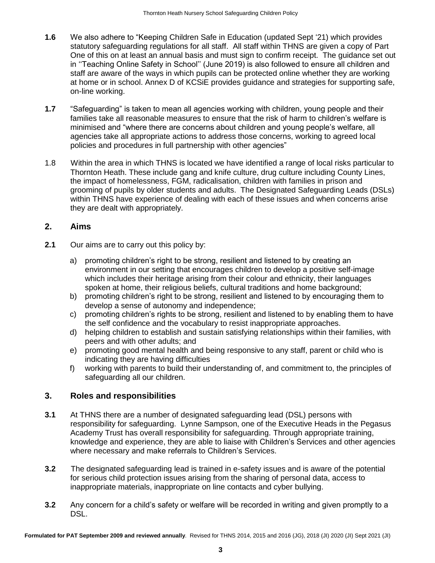- **1.6** We also adhere to "Keeping Children Safe in Education (updated Sept '21) which provides statutory safeguarding regulations for all staff. All staff within THNS are given a copy of Part One of this on at least an annual basis and must sign to confirm receipt. The guidance set out in ''Teaching Online Safety in School'' (June 2019) is also followed to ensure all children and staff are aware of the ways in which pupils can be protected online whether they are working at home or in school. Annex D of KCSiE provides guidance and strategies for supporting safe, on-line working.
- **1.7** "Safeguarding" is taken to mean all agencies working with children, young people and their families take all reasonable measures to ensure that the risk of harm to children's welfare is minimised and "where there are concerns about children and young people's welfare, all agencies take all appropriate actions to address those concerns, working to agreed local policies and procedures in full partnership with other agencies"
- 1.8 Within the area in which THNS is located we have identified a range of local risks particular to Thornton Heath. These include gang and knife culture, drug culture including County Lines, the impact of homelessness, FGM, radicalisation, children with families in prison and grooming of pupils by older students and adults. The Designated Safeguarding Leads (DSLs) within THNS have experience of dealing with each of these issues and when concerns arise they are dealt with appropriately.

## **2. Aims**

- **2.1** Our aims are to carry out this policy by:
	- a) promoting children's right to be strong, resilient and listened to by creating an environment in our setting that encourages children to develop a positive self-image which includes their heritage arising from their colour and ethnicity, their languages spoken at home, their religious beliefs, cultural traditions and home background;
	- b) promoting children's right to be strong, resilient and listened to by encouraging them to develop a sense of autonomy and independence;
	- c) promoting children's rights to be strong, resilient and listened to by enabling them to have the self confidence and the vocabulary to resist inappropriate approaches.
	- d) helping children to establish and sustain satisfying relationships within their families, with peers and with other adults; and
	- e) promoting good mental health and being responsive to any staff, parent or child who is indicating they are having difficulties
	- f) working with parents to build their understanding of, and commitment to, the principles of safeguarding all our children.

# **3. Roles and responsibilities**

- **3.1** At THNS there are a number of designated safeguarding lead (DSL) persons with responsibility for safeguarding. Lynne Sampson, one of the Executive Heads in the Pegasus Academy Trust has overall responsibility for safeguarding. Through appropriate training, knowledge and experience, they are able to liaise with Children's Services and other agencies where necessary and make referrals to Children's Services.
- **3.2** The designated safeguarding lead is trained in e-safety issues and is aware of the potential for serious child protection issues arising from the sharing of personal data, access to inappropriate materials, inappropriate on line contacts and cyber bullying.
- **3.2** Any concern for a child's safety or welfare will be recorded in writing and given promptly to a DSL.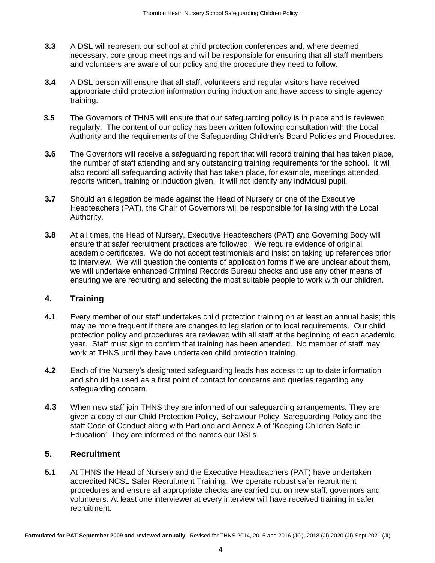- **3.3** A DSL will represent our school at child protection conferences and, where deemed necessary, core group meetings and will be responsible for ensuring that all staff members and volunteers are aware of our policy and the procedure they need to follow.
- **3.4** A DSL person will ensure that all staff, volunteers and regular visitors have received appropriate child protection information during induction and have access to single agency training.
- **3.5** The Governors of THNS will ensure that our safeguarding policy is in place and is reviewed regularly. The content of our policy has been written following consultation with the Local Authority and the requirements of the Safeguarding Children's Board Policies and Procedures.
- **3.6** The Governors will receive a safeguarding report that will record training that has taken place, the number of staff attending and any outstanding training requirements for the school. It will also record all safeguarding activity that has taken place, for example, meetings attended, reports written, training or induction given. It will not identify any individual pupil.
- **3.7** Should an allegation be made against the Head of Nursery or one of the Executive Headteachers (PAT), the Chair of Governors will be responsible for liaising with the Local Authority.
- **3.8** At all times, the Head of Nursery, Executive Headteachers (PAT) and Governing Body will ensure that safer recruitment practices are followed. We require evidence of original academic certificates. We do not accept testimonials and insist on taking up references prior to interview. We will question the contents of application forms if we are unclear about them, we will undertake enhanced Criminal Records Bureau checks and use any other means of ensuring we are recruiting and selecting the most suitable people to work with our children.

## **4. Training**

- **4.1** Every member of our staff undertakes child protection training on at least an annual basis; this may be more frequent if there are changes to legislation or to local requirements. Our child protection policy and procedures are reviewed with all staff at the beginning of each academic year. Staff must sign to confirm that training has been attended. No member of staff may work at THNS until they have undertaken child protection training.
- **4.2** Each of the Nursery's designated safeguarding leads has access to up to date information and should be used as a first point of contact for concerns and queries regarding any safeguarding concern.
- **4.3** When new staff join THNS they are informed of our safeguarding arrangements. They are given a copy of our Child Protection Policy, Behaviour Policy, Safeguarding Policy and the staff Code of Conduct along with Part one and Annex A of 'Keeping Children Safe in Education'. They are informed of the names our DSLs.

# **5. Recruitment**

**5.1** At THNS the Head of Nursery and the Executive Headteachers (PAT) have undertaken accredited NCSL Safer Recruitment Training. We operate robust safer recruitment procedures and ensure all appropriate checks are carried out on new staff, governors and volunteers. At least one interviewer at every interview will have received training in safer recruitment.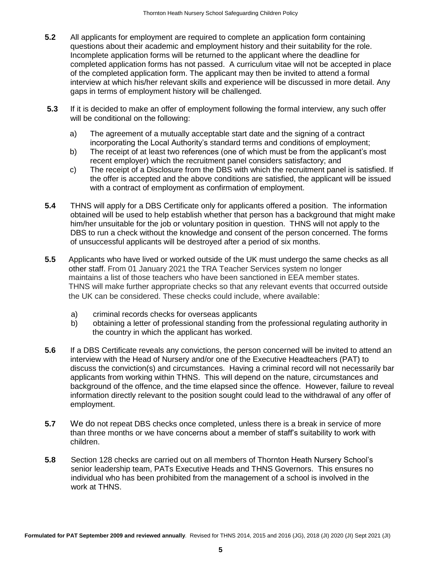- **5.2** All applicants for employment are required to complete an application form containing questions about their academic and employment history and their suitability for the role. Incomplete application forms will be returned to the applicant where the deadline for completed application forms has not passed. A curriculum vitae will not be accepted in place of the completed application form. The applicant may then be invited to attend a formal interview at which his/her relevant skills and experience will be discussed in more detail. Any gaps in terms of employment history will be challenged.
- **5.3** If it is decided to make an offer of employment following the formal interview, any such offer will be conditional on the following:
	- a) The agreement of a mutually acceptable start date and the signing of a contract incorporating the Local Authority's standard terms and conditions of employment;
	- b) The receipt of at least two references (one of which must be from the applicant's most recent employer) which the recruitment panel considers satisfactory; and
	- c) The receipt of a Disclosure from the DBS with which the recruitment panel is satisfied. If the offer is accepted and the above conditions are satisfied, the applicant will be issued with a contract of employment as confirmation of employment.
- **5.4** THNS will apply for a DBS Certificate only for applicants offered a position. The information obtained will be used to help establish whether that person has a background that might make him/her unsuitable for the job or voluntary position in question. THNS will not apply to the DBS to run a check without the knowledge and consent of the person concerned. The forms of unsuccessful applicants will be destroyed after a period of six months.
- **5.5** Applicants who have lived or worked outside of the UK must undergo the same checks as all other staff. From 01 January 2021 the TRA Teacher Services system no longer maintains a list of those teachers who have been sanctioned in EEA member states. THNS will make further appropriate checks so that any relevant events that occurred outside the UK can be considered. These checks could include, where available:
	- a) criminal records checks for overseas applicants
	- b) obtaining a letter of professional standing from the professional regulating authority in the country in which the applicant has worked.
- **5.6** If a DBS Certificate reveals any convictions, the person concerned will be invited to attend an interview with the Head of Nursery and/or one of the Executive Headteachers (PAT) to discuss the conviction(s) and circumstances. Having a criminal record will not necessarily bar applicants from working within THNS. This will depend on the nature, circumstances and background of the offence, and the time elapsed since the offence. However, failure to reveal information directly relevant to the position sought could lead to the withdrawal of any offer of employment.
- **5.7** We do not repeat DBS checks once completed, unless there is a break in service of more than three months or we have concerns about a member of staff's suitability to work with children.
- **5.8** Section 128 checks are carried out on all members of Thornton Heath Nursery School's senior leadership team, PATs Executive Heads and THNS Governors. This ensures no individual who has been prohibited from the management of a school is involved in the work at THNS.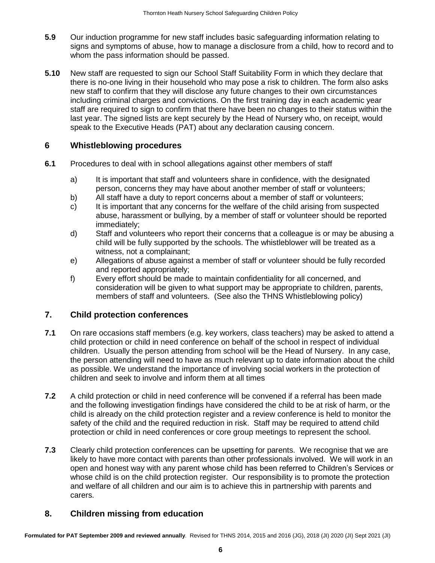- **5.9** Our induction programme for new staff includes basic safeguarding information relating to signs and symptoms of abuse, how to manage a disclosure from a child, how to record and to whom the pass information should be passed.
- **5.10** New staff are requested to sign our School Staff Suitability Form in which they declare that there is no-one living in their household who may pose a risk to children. The form also asks new staff to confirm that they will disclose any future changes to their own circumstances including criminal charges and convictions. On the first training day in each academic year staff are required to sign to confirm that there have been no changes to their status within the last year. The signed lists are kept securely by the Head of Nursery who, on receipt, would speak to the Executive Heads (PAT) about any declaration causing concern.

## **6 Whistleblowing procedures**

- **6.1** Procedures to deal with in school allegations against other members of staff
	- a) It is important that staff and volunteers share in confidence, with the designated person, concerns they may have about another member of staff or volunteers;
	- b) All staff have a duty to report concerns about a member of staff or volunteers;
	- c) It is important that any concerns for the welfare of the child arising from suspected abuse, harassment or bullying, by a member of staff or volunteer should be reported immediately;
	- d) Staff and volunteers who report their concerns that a colleague is or may be abusing a child will be fully supported by the schools. The whistleblower will be treated as a witness, not a complainant;
	- e) Allegations of abuse against a member of staff or volunteer should be fully recorded and reported appropriately;
	- f) Every effort should be made to maintain confidentiality for all concerned, and consideration will be given to what support may be appropriate to children, parents, members of staff and volunteers. (See also the THNS Whistleblowing policy)

## **7. Child protection conferences**

- **7.1** On rare occasions staff members (e.g. key workers, class teachers) may be asked to attend a child protection or child in need conference on behalf of the school in respect of individual children. Usually the person attending from school will be the Head of Nursery. In any case, the person attending will need to have as much relevant up to date information about the child as possible. We understand the importance of involving social workers in the protection of children and seek to involve and inform them at all times
- **7.2** A child protection or child in need conference will be convened if a referral has been made and the following investigation findings have considered the child to be at risk of harm, or the child is already on the child protection register and a review conference is held to monitor the safety of the child and the required reduction in risk. Staff may be required to attend child protection or child in need conferences or core group meetings to represent the school.
- **7.3** Clearly child protection conferences can be upsetting for parents. We recognise that we are likely to have more contact with parents than other professionals involved. We will work in an open and honest way with any parent whose child has been referred to Children's Services or whose child is on the child protection register. Our responsibility is to promote the protection and welfare of all children and our aim is to achieve this in partnership with parents and carers.

## **8. Children missing from education**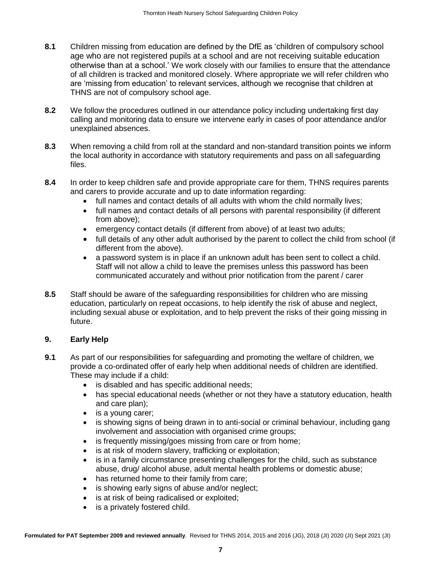- **8.1** Children missing from education are defined by the DfE as 'children of compulsory school age who are not registered pupils at a school and are not receiving suitable education otherwise than at a school.' We work closely with our families to ensure that the attendance of all children is tracked and monitored closely. Where appropriate we will refer children who are 'missing from education' to relevant services, although we recognise that children at THNS are not of compulsory school age.
- **8.2** We follow the procedures outlined in our attendance policy including undertaking first day calling and monitoring data to ensure we intervene early in cases of poor attendance and/or unexplained absences.
- **8.3** When removing a child from roll at the standard and non-standard transition points we inform the local authority in accordance with statutory requirements and pass on all safeguarding files.
- **8.4** In order to keep children safe and provide appropriate care for them, THNS requires parents and carers to provide accurate and up to date information regarding:
	- full names and contact details of all adults with whom the child normally lives;
	- full names and contact details of all persons with parental responsibility (if different from above);
	- emergency contact details (if different from above) of at least two adults;
	- full details of any other adult authorised by the parent to collect the child from school (if different from the above).
	- a password system is in place if an unknown adult has been sent to collect a child. Staff will not allow a child to leave the premises unless this password has been communicated accurately and without prior notification from the parent / carer
- **8.5** Staff should be aware of the safeguarding responsibilities for children who are missing education, particularly on repeat occasions, to help identify the risk of abuse and neglect, including sexual abuse or exploitation, and to help prevent the risks of their going missing in future.

## **9. Early Help**

- **9.1** As part of our responsibilities for safeguarding and promoting the welfare of children, we provide a co-ordinated offer of early help when additional needs of children are identified. These may include if a child:
	- is disabled and has specific additional needs;
	- has special educational needs (whether or not they have a statutory education, health and care plan);
	- is a young carer;
	- is showing signs of being drawn in to anti-social or criminal behaviour, including gang involvement and association with organised crime groups;
	- is frequently missing/goes missing from care or from home;
	- is at risk of modern slavery, trafficking or exploitation;
	- is in a family circumstance presenting challenges for the child, such as substance abuse, drug/ alcohol abuse, adult mental health problems or domestic abuse;
	- has returned home to their family from care;
	- is showing early signs of abuse and/or neglect;
	- is at risk of being radicalised or exploited;
	- is a privately fostered child.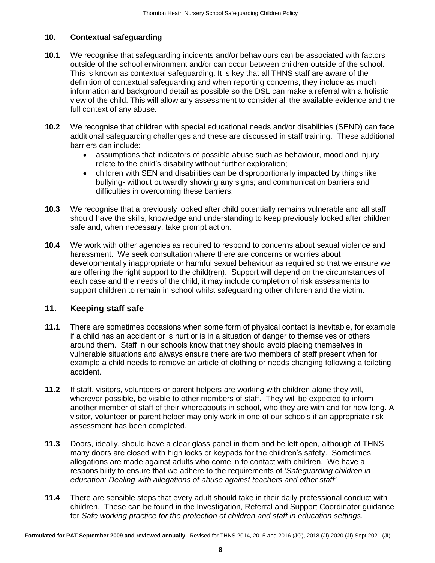#### **10. Contextual safeguarding**

- **10.1** We recognise that safeguarding incidents and/or behaviours can be associated with factors outside of the school environment and/or can occur between children outside of the school. This is known as contextual safeguarding. It is key that all THNS staff are aware of the definition of contextual safeguarding and when reporting concerns, they include as much information and background detail as possible so the DSL can make a referral with a holistic view of the child. This will allow any assessment to consider all the available evidence and the full context of any abuse.
- **10.2** We recognise that children with special educational needs and/or disabilities (SEND) can face additional safeguarding challenges and these are discussed in staff training. These additional barriers can include:
	- assumptions that indicators of possible abuse such as behaviour, mood and injury relate to the child's disability without further exploration;
	- children with SEN and disabilities can be disproportionally impacted by things like bullying- without outwardly showing any signs; and communication barriers and difficulties in overcoming these barriers.
- **10.3** We recognise that a previously looked after child potentially remains vulnerable and all staff should have the skills, knowledge and understanding to keep previously looked after children safe and, when necessary, take prompt action.
- **10.4** We work with other agencies as required to respond to concerns about sexual violence and harassment. We seek consultation where there are concerns or worries about developmentally inappropriate or harmful sexual behaviour as required so that we ensure we are offering the right support to the child(ren). Support will depend on the circumstances of each case and the needs of the child, it may include completion of risk assessments to support children to remain in school whilst safeguarding other children and the victim.

## **11. Keeping staff safe**

- **11.1** There are sometimes occasions when some form of physical contact is inevitable, for example if a child has an accident or is hurt or is in a situation of danger to themselves or others around them. Staff in our schools know that they should avoid placing themselves in vulnerable situations and always ensure there are two members of staff present when for example a child needs to remove an article of clothing or needs changing following a toileting accident.
- **11.2** If staff, visitors, volunteers or parent helpers are working with children alone they will, wherever possible, be visible to other members of staff. They will be expected to inform another member of staff of their whereabouts in school, who they are with and for how long. A visitor, volunteer or parent helper may only work in one of our schools if an appropriate risk assessment has been completed.
- **11.3** Doors, ideally, should have a clear glass panel in them and be left open, although at THNS many doors are closed with high locks or keypads for the children's safety. Sometimes allegations are made against adults who come in to contact with children. We have a responsibility to ensure that we adhere to the requirements of '*Safeguarding children in education: Dealing with allegations of abuse against teachers and other staff'*
- **11.4** There are sensible steps that every adult should take in their daily professional conduct with children. These can be found in the Investigation, Referral and Support Coordinator guidance for *Safe working practice for the protection of children and staff in education settings.*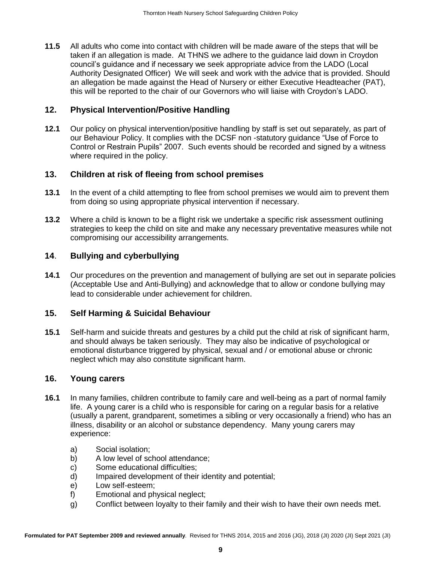**11.5** All adults who come into contact with children will be made aware of the steps that will be taken if an allegation is made. At THNS we adhere to the guidance laid down in Croydon council's guidance and if necessary we seek appropriate advice from the LADO (Local Authority Designated Officer) We will seek and work with the advice that is provided. Should an allegation be made against the Head of Nursery or either Executive Headteacher (PAT), this will be reported to the chair of our Governors who will liaise with Croydon's LADO.

#### **12. Physical Intervention/Positive Handling**

**12.1** Our policy on physical intervention/positive handling by staff is set out separately, as part of our Behaviour Policy. It complies with the DCSF non -statutory guidance "Use of Force to Control or Restrain Pupils" 2007. Such events should be recorded and signed by a witness where required in the policy.

## **13. Children at risk of fleeing from school premises**

- **13.1** In the event of a child attempting to flee from school premises we would aim to prevent them from doing so using appropriate physical intervention if necessary.
- **13.2** Where a child is known to be a flight risk we undertake a specific risk assessment outlining strategies to keep the child on site and make any necessary preventative measures while not compromising our accessibility arrangements.

## **14**. **Bullying and cyberbullying**

**14.1** Our procedures on the prevention and management of bullying are set out in separate policies (Acceptable Use and Anti-Bullying) and acknowledge that to allow or condone bullying may lead to considerable under achievement for children.

## **15. Self Harming & Suicidal Behaviour**

**15.1** Self-harm and suicide threats and gestures by a child put the child at risk of significant harm, and should always be taken seriously. They may also be indicative of psychological or emotional disturbance triggered by physical, sexual and / or emotional abuse or chronic neglect which may also constitute significant harm.

#### **16. Young carers**

- **16.1** In many families, children contribute to family care and well-being as a part of normal family life. A young carer is a child who is responsible for caring on a regular basis for a relative (usually a parent, grandparent, sometimes a sibling or very occasionally a friend) who has an illness, disability or an alcohol or substance dependency. Many young carers may experience:
	- a) Social isolation;
	- b) A low level of school attendance;
	- c) Some educational difficulties;
	- d) Impaired development of their identity and potential;
	- e) Low self-esteem;
	- f) Emotional and physical neglect;
	- g) Conflict between loyalty to their family and their wish to have their own needs met.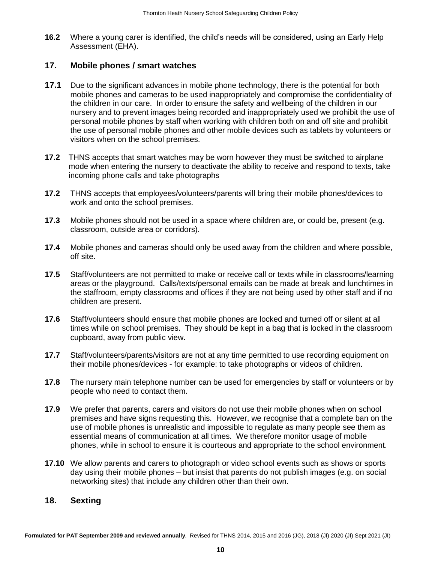**16.2** Where a young carer is identified, the child's needs will be considered, using an Early Help Assessment (EHA).

#### **17. Mobile phones / smart watches**

- **17.1** Due to the significant advances in mobile phone technology, there is the potential for both mobile phones and cameras to be used inappropriately and compromise the confidentiality of the children in our care. In order to ensure the safety and wellbeing of the children in our nursery and to prevent images being recorded and inappropriately used we prohibit the use of personal mobile phones by staff when working with children both on and off site and prohibit the use of personal mobile phones and other mobile devices such as tablets by volunteers or visitors when on the school premises.
- **17.2** THNS accepts that smart watches may be worn however they must be switched to airplane mode when entering the nursery to deactivate the ability to receive and respond to texts, take incoming phone calls and take photographs
- **17.2** THNS accepts that employees/volunteers/parents will bring their mobile phones/devices to work and onto the school premises.
- **17.3** Mobile phones should not be used in a space where children are, or could be, present (e.g. classroom, outside area or corridors).
- **17.4** Mobile phones and cameras should only be used away from the children and where possible, off site.
- **17.5** Staff/volunteers are not permitted to make or receive call or texts while in classrooms/learning areas or the playground. Calls/texts/personal emails can be made at break and lunchtimes in the staffroom, empty classrooms and offices if they are not being used by other staff and if no children are present.
- **17.6** Staff/volunteers should ensure that mobile phones are locked and turned off or silent at all times while on school premises. They should be kept in a bag that is locked in the classroom cupboard, away from public view.
- **17.7** Staff/volunteers/parents/visitors are not at any time permitted to use recording equipment on their mobile phones/devices - for example: to take photographs or videos of children.
- **17.8** The nursery main telephone number can be used for emergencies by staff or volunteers or by people who need to contact them.
- **17.9** We prefer that parents, carers and visitors do not use their mobile phones when on school premises and have signs requesting this. However, we recognise that a complete ban on the use of mobile phones is unrealistic and impossible to regulate as many people see them as essential means of communication at all times. We therefore monitor usage of mobile phones, while in school to ensure it is courteous and appropriate to the school environment.
- **17.10** We allow parents and carers to photograph or video school events such as shows or sports day using their mobile phones – but insist that parents do not publish images (e.g. on social networking sites) that include any children other than their own.

## **18. Sexting**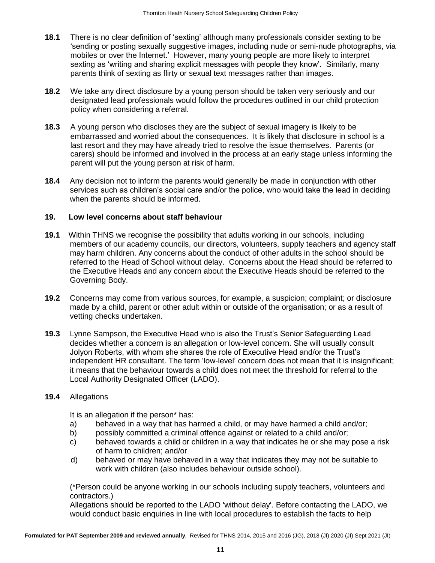- **18.1** There is no clear definition of 'sexting' although many professionals consider sexting to be 'sending or posting sexually suggestive images, including nude or semi-nude photographs, via mobiles or over the Internet.' However, many young people are more likely to interpret sexting as 'writing and sharing explicit messages with people they know'. Similarly, many parents think of sexting as flirty or sexual text messages rather than images.
- **18.2** We take any direct disclosure by a young person should be taken very seriously and our designated lead professionals would follow the procedures outlined in our child protection policy when considering a referral.
- **18.3** A young person who discloses they are the subject of sexual imagery is likely to be embarrassed and worried about the consequences. It is likely that disclosure in school is a last resort and they may have already tried to resolve the issue themselves. Parents (or carers) should be informed and involved in the process at an early stage unless informing the parent will put the young person at risk of harm.
- **18.4** Any decision not to inform the parents would generally be made in conjunction with other services such as children's social care and/or the police, who would take the lead in deciding when the parents should be informed.

#### **19. Low level concerns about staff behaviour**

- **19.1** Within THNS we recognise the possibility that adults working in our schools, including members of our academy councils, our directors, volunteers, supply teachers and agency staff may harm children. Any concerns about the conduct of other adults in the school should be referred to the Head of School without delay. Concerns about the Head should be referred to the Executive Heads and any concern about the Executive Heads should be referred to the Governing Body.
- **19.2** Concerns may come from various sources, for example, a suspicion; complaint; or disclosure made by a child, parent or other adult within or outside of the organisation; or as a result of vetting checks undertaken.
- **19.3** Lynne Sampson, the Executive Head who is also the Trust's Senior Safeguarding Lead decides whether a concern is an allegation or low-level concern. She will usually consult Jolyon Roberts, with whom she shares the role of Executive Head and/or the Trust's independent HR consultant. The term 'low-level' concern does not mean that it is insignificant; it means that the behaviour towards a child does not meet the threshold for referral to the Local Authority Designated Officer (LADO).

#### **19.4** Allegations

It is an allegation if the person\* has:

- a) behaved in a way that has harmed a child, or may have harmed a child and/or;
- b) possibly committed a criminal offence against or related to a child and/or;
- c) behaved towards a child or children in a way that indicates he or she may pose a risk of harm to children; and/or
- d) behaved or may have behaved in a way that indicates they may not be suitable to work with children (also includes behaviour outside school).

(\*Person could be anyone working in our schools including supply teachers, volunteers and contractors.)

Allegations should be reported to the LADO 'without delay'. Before contacting the LADO, we would conduct basic enquiries in line with local procedures to establish the facts to help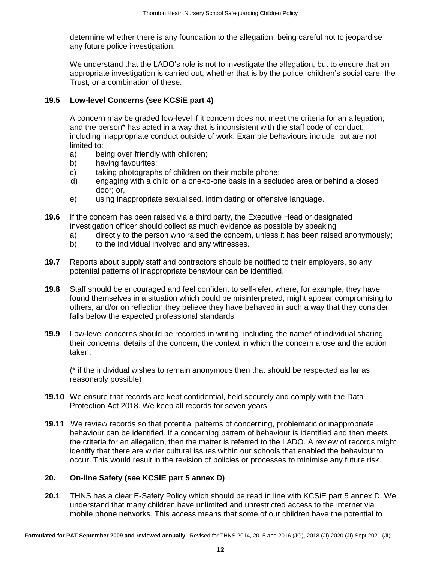determine whether there is any foundation to the allegation, being careful not to jeopardise any future police investigation.

We understand that the LADO's role is not to investigate the allegation, but to ensure that an appropriate investigation is carried out, whether that is by the police, children's social care, the Trust, or a combination of these.

#### **19.5 Low-level Concerns (see KCSiE part 4)**

A concern may be graded low-level if it concern does not meet the criteria for an allegation; and the person\* has acted in a way that is inconsistent with the staff code of conduct, including inappropriate conduct outside of work. Example behaviours include, but are not limited to:

- a) being over friendly with children;
- b) having favourites;
- c) taking photographs of children on their mobile phone;
- d) engaging with a child on a one-to-one basis in a secluded area or behind a closed door; or,
- e) using inappropriate sexualised, intimidating or offensive language.
- **19.6** If the concern has been raised via a third party, the Executive Head or designated investigation officer should collect as much evidence as possible by speaking
	- a) directly to the person who raised the concern, unless it has been raised anonymously;
	- b) to the individual involved and any witnesses.
- **19.7** Reports about supply staff and contractors should be notified to their employers, so any potential patterns of inappropriate behaviour can be identified.
- **19.8** Staff should be encouraged and feel confident to self-refer, where, for example, they have found themselves in a situation which could be misinterpreted, might appear compromising to others, and/or on reflection they believe they have behaved in such a way that they consider falls below the expected professional standards.
- **19.9** Low-level concerns should be recorded in writing, including the name\* of individual sharing their concerns, details of the concern**,** the context in which the concern arose and the action taken.

(\* if the individual wishes to remain anonymous then that should be respected as far as reasonably possible)

- **19.10** We ensure that records are kept confidential, held securely and comply with the Data Protection Act 2018. We keep all records for seven years.
- **19.11** We review records so that potential patterns of concerning, problematic or inappropriate behaviour can be identified. If a concerning pattern of behaviour is identified and then meets the criteria for an allegation, then the matter is referred to the LADO. A review of records might identify that there are wider cultural issues within our schools that enabled the behaviour to occur. This would result in the revision of policies or processes to minimise any future risk.

#### **20. On-line Safety (see KCSiE part 5 annex D)**

**20.1** THNS has a clear E-Safety Policy which should be read in line with KCSiE part 5 annex D. We understand that many children have unlimited and unrestricted access to the internet via mobile phone networks. This access means that some of our children have the potential to